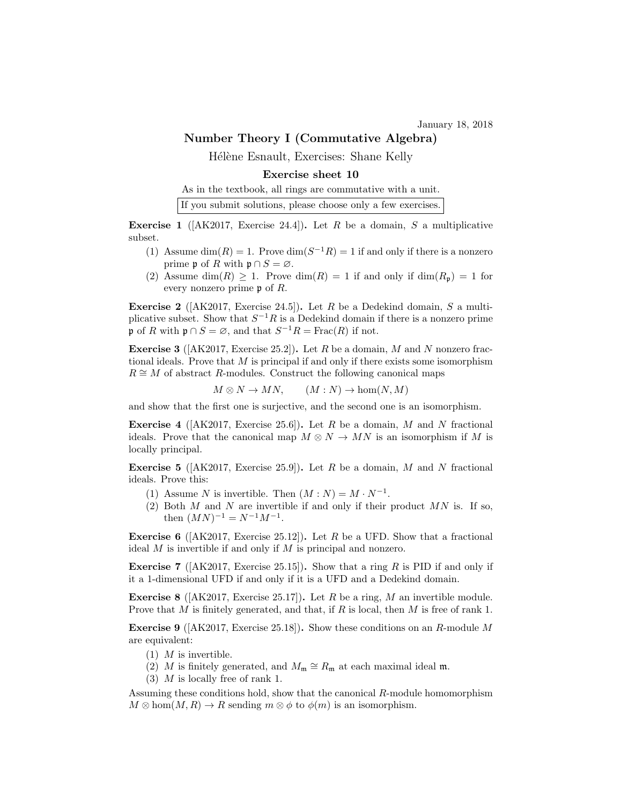January 18, 2018

## Number Theory I (Commutative Algebra)

Hélène Esnault, Exercises: Shane Kelly

## Exercise sheet 10

As in the textbook, all rings are commutative with a unit.

|  |  | If you submit solutions, please choose only a few exercises. |  |  |  |  |  |  |
|--|--|--------------------------------------------------------------|--|--|--|--|--|--|
|--|--|--------------------------------------------------------------|--|--|--|--|--|--|

**Exercise 1** ( $AK2017$ , Exercise 24.4)). Let R be a domain, S a multiplicative subset.

- (1) Assume  $\dim(R) = 1$ . Prove  $\dim(S^{-1}R) = 1$  if and only if there is a nonzero prime  $\mathfrak{p}$  of R with  $\mathfrak{p} \cap S = \varnothing$ .
- (2) Assume  $\dim(R) \geq 1$ . Prove  $\dim(R) = 1$  if and only if  $\dim(R_p) = 1$  for every nonzero prime  $\mathfrak p$  of  $R$ .

**Exercise 2** ( $[AK2017, Exercise 24.5]$ ). Let R be a Dedekind domain, S a multiplicative subset. Show that  $S^{-1}R$  is a Dedekind domain if there is a nonzero prime p of R with  $\mathfrak{p} \cap S = \varnothing$ , and that  $S^{-1}R = \text{Frac}(R)$  if not.

**Exercise 3** ( $AK2017$ , Exercise 25.2). Let R be a domain, M and N nonzero fractional ideals. Prove that  $M$  is principal if and only if there exists some isomorphism  $R \cong M$  of abstract R-modules. Construct the following canonical maps

$$
M \otimes N \to MN, \qquad (M:N) \to \text{hom}(N,M)
$$

and show that the first one is surjective, and the second one is an isomorphism.

**Exercise 4** ( $[AK2017, Exercise 25.6]$ ). Let R be a domain, M and N fractional ideals. Prove that the canonical map  $M \otimes N \to MN$  is an isomorphism if M is locally principal.

**Exercise 5** ( $[AK2017, Exercise 25.9]$ ). Let R be a domain, M and N fractional ideals. Prove this:

- (1) Assume N is invertible. Then  $(M : N) = M \cdot N^{-1}$ .
- (2) Both M and N are invertible if and only if their product  $MN$  is. If so, then  $(MN)^{-1} = N^{-1}M^{-1}$ .

**Exercise 6** ( $[AK2017, Exercise 25.12]$ ). Let R be a UFD. Show that a fractional ideal M is invertible if and only if M is principal and nonzero.

**Exercise 7** ( $[AK2017, Exercise 25.15]$ ). Show that a ring R is PID if and only if it a 1-dimensional UFD if and only if it is a UFD and a Dedekind domain.

**Exercise 8** ( $AK2017$ , Exercise 25.17). Let R be a ring, M an invertible module. Prove that M is finitely generated, and that, if R is local, then M is free of rank 1.

**Exercise 9** ( $[AK2017, Exercise 25.18]$ ). Show these conditions on an R-module M are equivalent:

- $(1)$  *M* is invertible.
- (2) M is finitely generated, and  $M_{\mathfrak{m}} \cong R_{\mathfrak{m}}$  at each maximal ideal  $\mathfrak{m}$ .
- (3) M is locally free of rank 1.

Assuming these conditions hold, show that the canonical R-module homomorphism  $M \otimes \text{hom}(M, R) \to R$  sending  $m \otimes \phi$  to  $\phi(m)$  is an isomorphism.